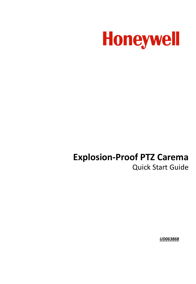

# **Explosion-Proof PTZ Carema** Quick Start Guide

*UD06386B*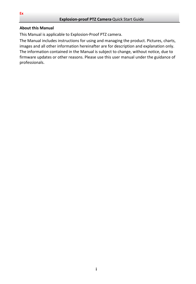#### **About this Manual**

This Manual is applicable to Explosion-Proof PTZ camera.

The Manual includes instructions for using and managing the product. Pictures, charts, images and all other information hereinafter are for description and explanation only. The information contained in the Manual is subject to change, without notice, due to firmware updates or other reasons. Please use this user manual under the guidance of professionals.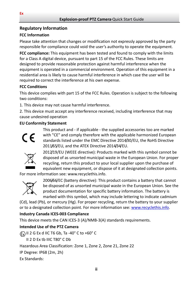## **Regulatory Information**

## **FCC Information**

Please take attention that changes or modification not expressly approved by the party responsible for compliance could void the user's authority to operate the equipment.

**FCC compliance:** This equipment has been tested and found to comply with the limits for a Class A digital device, pursuant to part 15 of the FCC Rules. These limits are designed to provide reasonable protection against harmful interference when the equipment is operated in a commercial environment. Operation of this equipment in a residential area is likely to cause harmful interference in which case the user will be required to correct the interference at his own expense.

## **FCC Conditions**

This device complies with part 15 of the FCC Rules. Operation is subject to the following two conditions:

1. This device may not cause harmful interference.

2. This device must accept any interference received, including interference that may cause undesired operation

### **EU Conformity Statement**



This product and - if applicable - the supplied accessories too are marked with "CE" and comply therefore with the applicable harmonized European standards listed under the EMC Directive 2014/30/EU, the RoHS Directive 2011/65/EU, and the ATEX Directive 2014/34/EU.



2012/19/EU (WEEE directive): Products marked with this symbol cannot be disposed of as unsorted municipal waste in the European Union. For proper recycling, return this product to your local supplier upon the purchase of equivalent new equipment, or dispose of it at designated collection points.

For more information see: www.recyclethis.info.



2006/66/EC (battery directive): This product contains a battery that cannot be disposed of as unsorted municipal waste in the European Union. See the product documentation for specific battery information. The battery is marked with this symbol, which may include lettering to indicate cadmium

(Cd), lead (Pb), or mercury (Hg). For proper recycling, return the battery to your supplier or to a designated collection point. For more information see[: www.recyclethis.info.](http://www.recyclethis.info/)

# **Industry Canada ICES-003 Compliance**

This device meets the CAN ICES-3 (A)/NMB-3(A) standards requirements.

# **Intended Use of the PTZ Camera**

**Ex**) II 2 G Ex d IIC T6 Gb, Ta -40° C to +60° C

II 2 D Ex tb IIIC T80° C Db

Hazardous Area Classification: Zone 1, Zone 2, Zone 21, Zone 22

IP Degree: IP68 (2m, 2h)

Ex Standards: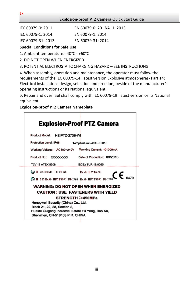| IEC 60079-0: 2011 | EN 60079-0: 2012/A11: 2013 |
|-------------------|----------------------------|
|                   |                            |

- IEC 60079-1: 2014 EN 60079-1: 2014
- IEC 60079-31: 2013 EN 60079-31: 2014

### **Special Conditions for Safe Use**

1. Ambient temperature: -40°C - +60°C

2. DO NOT OPEN WHEN ENERGIZED

3. POTENTIAL ELECTROSTATIC CHARGING HAZARD – SEE INSTRUCTIONS

4. When assembly, operation and maintenance, the operator must follow the requirements of the IEC 60079-14: latest version Explosive atmospheres- Part 14: Electrical installations design, selection and erection, beside of the manufacturer's operating instructions or its National equivalent.

5. Repair and overhaul shall comply with IEC 60079-19: latest version or its National equivalent.

#### **Explosion-proof PTZ Camera Nameplate**

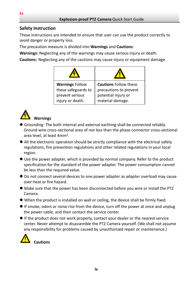### **Safety Instruction**

These instructions are intended to ensure that user can use the product correctly to avoid danger or property loss.

The precaution measure is divided into **Warnings** and **Cautions**:

**Warnings:** Neglecting any of the warnings may cause serious injury or death.

**Cautions:** Neglecting any of the cautions may cause injury or equipment damage.

| <b>Warnings Follow</b>                 | <b>Cautions Follow these</b>                  |
|----------------------------------------|-----------------------------------------------|
| these safeguards to<br>prevent serious | precautions to prevent<br>potential injury or |
| injury or death.                       | material damage.                              |



### **Warnings**

- Grounding: The both internal and external earthing shall be connected reliably. Ground wire cross-sectional area of not less than the phase connector cross-sectional area level, at least 4mm2.
- All the electronic operation should be strictly compliance with the electrical safety regulations, fire prevention regulations and other related regulations in your local region.
- Use the power adapter, which is provided by normal company. Refer to the product specification for the standard of the power adapter. The power consumption cannot be less than the required value.
- Do not connect several devices to one power adapter as adapter overload may cause over-heat or fire hazard.
- $\bullet$  Make sure that the power has been disconnected before you wire or install the PTZ Camera.
- When the product is installed on wall or ceiling, the device shall be firmly fixed.
- If smoke, odors or noise rise from the device, turn off the power at once and unplug the power cable, and then contact the service center.
- If the product does not work properly, contact your dealer or the nearest service center. Never attempt to disassemble the PTZ Camera yourself. (We shall not assume any responsibility for problems caused by unauthorized repair or maintenance.)

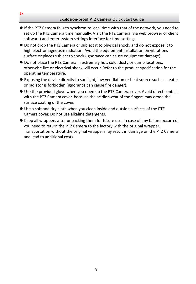- If the PTZ Camera fails to synchronize local time with that of the network, you need to set up the PTZ Camera time manually. Visit the PTZ Camera (via web browser or client software) and enter system settings interface for time settings.
- Do not drop the PTZ Camera or subject it to physical shock, and do not expose it to high electromagnetism radiation. Avoid the equipment installation on vibrations surface or places subject to shock (ignorance can cause equipment damage).
- Do not place the PTZ Camera in extremely hot, cold, dusty or damp locations, otherwise fire or electrical shock will occur. Refer to the product specification for the operating temperature.
- Exposing the device directly to sun light, low ventilation or heat source such as heater or radiator is forbidden (ignorance can cause fire danger).
- Use the provided glove when you open up the PTZ Camera cover. Avoid direct contact with the PTZ Camera cover, because the acidic sweat of the fingers may erode the surface coating of the cover.
- Use a soft and dry cloth when you clean inside and outside surfaces of the PTZ Camera cover. Do not use alkaline detergents.
- Keep all wrappers after unpacking them for future use. In case of any failure occurred, you need to return the PTZ Camera to the factory with the original wrapper. Transportation without the original wrapper may result in damage on the PTZ Camera and lead to additional costs.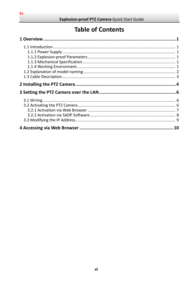# **Table of Contents**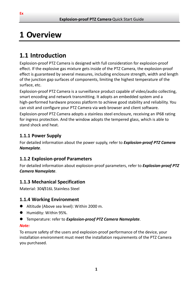# <span id="page-7-0"></span>**1 Overview**

# <span id="page-7-1"></span>**1.1 Introduction**

Explosion-proof PTZ Camera is designed with full consideration for explosion-proof effect. If the explosive gas mixture gets inside of the PTZ Camera, the explosion-proof effect is guaranteed by several measures, including enclosure strength, width and length of the junction gap surfaces of components, limiting the highest temperature of the surface, etc.

Explosion-proof PTZ Camera is a surveillance product capable of video/audio collecting, smart encoding and network transmitting. It adopts an embedded system and a high-performed hardware process platform to achieve good stability and reliability. You can visit and configure your PTZ Camera via web browser and client software.

Explosion-proof PTZ Camera adopts a stainless steel enclosure, receiving an IP68 rating for ingress protection. And the window adopts the tempered glass, which is able to stand shock and heat.

# <span id="page-7-2"></span>**1.1.1 Power Supply**

For detailed information about the power supply, refer to *Explosion-proof PTZ Camera Nameplate*.

# <span id="page-7-3"></span>**1.1.2 Explosion-proof Parameters**

For detailed information about explosion-proof parameters, refer to *Explosion-proof PTZ Camera Nameplate*.

# <span id="page-7-4"></span>**1.1.3 Mechanical Specification**

Material: 304/316L Stainless Steel

# <span id="page-7-5"></span>**1.1.4 Working Environment**

- Altitude (Above sea level): Within 2000 m.
- Humidity: Within 95%.
- Temperature: refer to *Explosion-proof PTZ Camera Nameplate*.

#### *Note:*

To ensure safety of the users and explosion-proof performance of the device, your installation environment must meet the installation requirements of the PTZ Camera you purchased.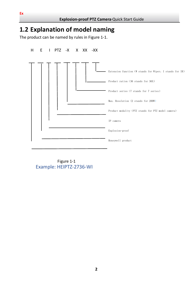# <span id="page-8-0"></span>**1.2 Explanation of model naming**

The product can be named by rules in Figure 1-1.



 Figure 1-1 Example: HEIPTZ-2736-WI

**Ex**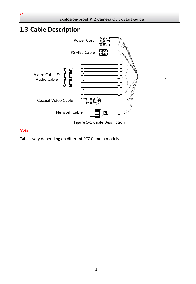# <span id="page-9-0"></span>**1.3 Cable Description**



#### *Note:*

Cables vary depending on different PTZ Camera models.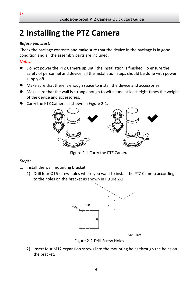# <span id="page-10-0"></span>**2 Installing the PTZ Camera**

#### *Before you start:*

Check the package contents and make sure that the device in the package is in good condition and all the assembly parts are included.

#### *Notes:*

- Do not power the PTZ Camera up until the installation is finished. To ensure the safety of personnel and device, all the installation steps should be done with power supply off.
- Make sure that there is enough space to install the device and accessories.
- Make sure that the wall is strong enough to withstand at least eight times the weight of the device and accessories.
- Carry the PTZ Camera as shown in [Figure 2-1.](#page-10-1)



Figure 2-1 Carry the PTZ Camera

#### <span id="page-10-1"></span>*Steps:*

- 1. Install the wall mounting bracket.
	- 1) Drill four Ø16 screw holes where you want to install the PTZ Camera according to the holes on the bracket as shown i[n Figure 2-2.](#page-10-2)



Figure 2-2 Drill Screw Holes

<span id="page-10-2"></span>2) Insert four M12 expansion screws into the mounting holes through the holes on the bracket.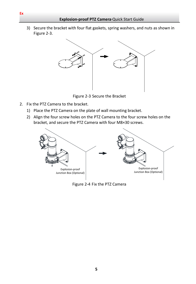3) Secure the bracket with four flat gaskets, spring washers, and nuts as shown in [Figure 2-3.](#page-11-0)



Figure 2-3 Secure the Bracket

- <span id="page-11-0"></span>2. Fix the PTZ Camera to the bracket.
	- 1) Place the PTZ Camera on the plate of wall mounting bracket.
	- 2) Align the four screw holes on the PTZ Camera to the four screw holes on the bracket, and secure the PTZ Camera with four M8×30 screws.



Figure 2-4 Fix the PTZ Camera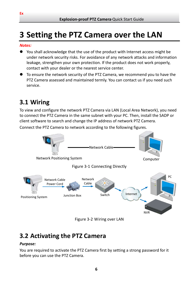# <span id="page-12-0"></span>**3 Setting the PTZ Camera over the LAN**

#### *Notes:*

- You shall acknowledge that the use of the product with Internet access might be under network security risks. For avoidance of any network attacks and information leakage, strengthen your own protection. If the product does not work properly, contact with your dealer or the nearest service center.
- To ensure the network security of the PTZ Camera, we recommend you to have the PTZ Camera assessed and maintained termly. You can contact us if you need such service.

# <span id="page-12-1"></span>**3.1 Wiring**

To view and configure the network PTZ Camera via LAN (Local Area Network), you need to connect the PTZ Camera in the same subnet with your PC. Then, install the SADP or client software to search and change the IP address of network PTZ Camera.

Connect the PTZ Camera to network according to the following figures.



Figure 3-2 Wiring over LAN

# <span id="page-12-2"></span>**3.2 Activating the PTZ Camera**

#### *Purpose:*

You are required to activate the PTZ Camera first by setting a strong password for it before you can use the PTZ Camera.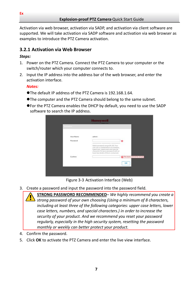Activation via web browser, activation via SADP, and activation via client software are supported. We will take activation via SADP software and activation via web browser as examples to introduce the PTZ Camera activation.

## <span id="page-13-0"></span>**3.2.1 Activation via Web Browser**

#### *Steps:*

- 1. Power on the PTZ Camera. Connect the PTZ Camera to your computer or the switch/router which your computer connects to.
- 2. Input the IP address into the address bar of the web browser, and enter the activation interface.

#### *Notes:*

- The default IP address of the PTZ Camera is 192.168.1.64.
- The computer and the PTZ Camera should belong to the same subnet.
- For the PTZ Camera enables the DHCP by default, you need to use the SADP software to search the IP address.

| Activations:              |                                                                                                                                                    |                           |
|---------------------------|----------------------------------------------------------------------------------------------------------------------------------------------------|---------------------------|
| User Name                 | admin                                                                                                                                              |                           |
| Password                  |                                                                                                                                                    | ø                         |
|                           | Valid password range [8-16] You                                                                                                                    |                           |
|                           | can use a combination of numbers,<br>lowercase, uppercase and special<br>character for your password with at<br>least two kinds of them contained. |                           |
| Sieherstellung<br>Confirm |                                                                                                                                                    | The item cannot be empty. |
|                           |                                                                                                                                                    |                           |
|                           |                                                                                                                                                    | OK                        |

Figure 3-3 Activation Interface (Web)

3. Create a password and input the password into the password field.

**STRONG PASSWORD RECOMMENDED***– We highly recommend you create a strong password of your own choosing (Using a minimum of 8 characters, including at least three of the following categories: upper case letters, lower case letters, numbers, and special characters.) in order to increase the security of your product. And we recommend you reset your password regularly, especially in the high security system, resetting the password monthly or weekly can better protect your product.*

- 4. Confirm the password.
- 5. Click **OK** to activate the PTZ Camera and enter the live view interface.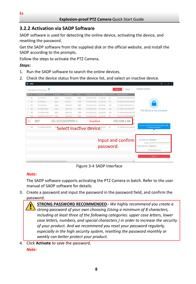# <span id="page-14-0"></span>**3.2.2 Activation via SADP Software**

SADP software is used for detecting the online device, activating the device, and resetting the password.

Get the SADP software from the supplied disk or the official website, and install the SADP according to the prompts.

Follow the steps to activate the PTZ Camera*.*

#### *Steps:*

- 1. Run the SADP software to search the online devices.
- 2. Check the device status from the device list, and select an inactive device.



Figure 3-4 SADP Interface

### *Note:*

The SADP software supports activating the PTZ Camera in batch. Refer to the user manual of SADP software for details.

- 3. Create a password and input the password in the password field, and confirm the password.
	- **STRONG PASSWORD RECOMMENDED***– We highly recommend you create a strong password of your own choosing (Using a minimum of 8 characters, including at least three of the following categories: upper case letters, lower case letters, numbers, and special characters.) in order to increase the security of your product. And we recommend you reset your password regularly, especially in the high security system, resetting the password monthly or weekly can better protect your product.*
- 4. Click **Activate** to save the password.

*Note:*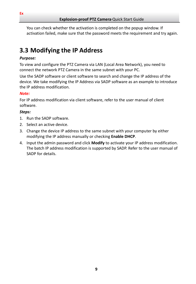You can check whether the activation is completed on the popup window. If activation failed, make sure that the password meets the requirement and try again.

# <span id="page-15-0"></span>**3.3 Modifying the IP Address**

#### *Purpose:*

To view and configure the PTZ Camera via LAN (Local Area Network), you need to connect the network PTZ Camera in the same subnet with your PC.

Use the SADP software or client software to search and change the IP address of the device. We take modifying the IP Address via SADP software as an example to introduce the IP address modification.

#### *Note:*

For IP address modification via client software, refer to the user manual of client software.

#### *Steps:*

- 1. Run the SADP software.
- 2. Select an active device.
- 3. Change the device IP address to the same subnet with your computer by either modifying the IP address manually or checking **Enable DHCP**.
- 4. Input the admin password and click **Modify** to activate your IP address modification. The batch IP address modification is supported by SADP. Refer to the user manual of SADP for details.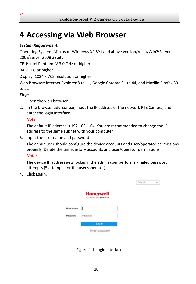# <span id="page-16-0"></span>**4 Accessing via Web Browser**

#### *System Requirement:*

Operating System: Microsoft Windows XP SP1 and above version/Vista/Win7/Server 2003/Server 2008 32bits

CPU: Intel Pentium IV 3.0 GHz or higher

RAM: 1G or higher

Display: 1024 × 768 resolution or higher

Web Browser: Internet Explorer 8 to 11, Google Chrome 31 to 44, and Mozilla Firefox 30 to 51

#### *Steps:*

- 1. Open the web browser.
- 2. In the browser address bar, input the IP address of the network PTZ Camera, and enter the login interface.

#### *Note:*

The default IP address is 192.168.1.64. You are recommended to change the IP address to the same subnet with your computer.

3. Input the user name and password.

The admin user should configure the device accounts and user/operator permissions properly. Delete the unnecessary accounts and user/operator permissions. *Note:*

English

 $\vee$ 

The device IP address gets locked if the admin user performs 7 failed password attempts (5 attempts for the user/operator).

4. Click **Login**.

|           | <b>Honeywell</b><br>THE FOWER OF CONNECTED |
|-----------|--------------------------------------------|
| User Name |                                            |
| Password  | Password                                   |
|           | Login                                      |
|           | Forgot password?                           |

Figure 4-1 Login Interface